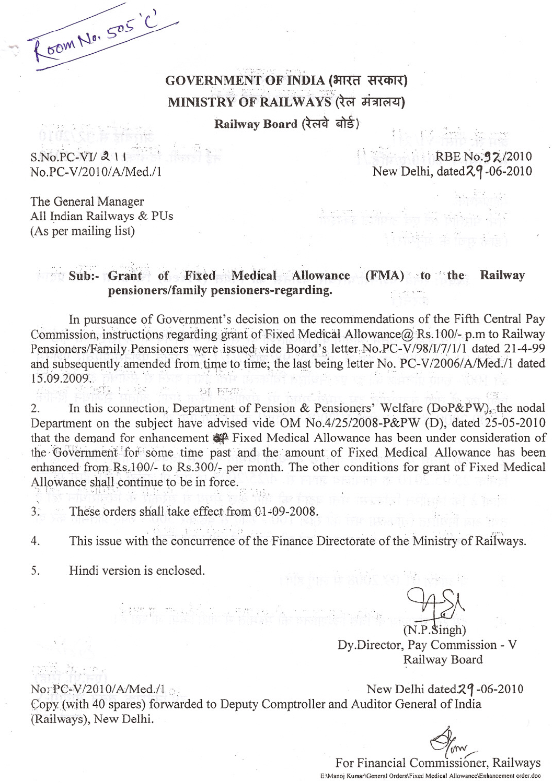GOVERNMENT OF INDIA (भारत सरकार) MINISTRY OF RAILWAYS (रेल मंत्रालय) Railway Board (रेलवे बोर्ड) Hunt Ashiga

 $S.No.PC-VI/211$ No.PC-V/2010/A/Med./1

COM No. 505'C'

**EXECUTE RBE No.92/2010** New Delhi, dated 29-06-2010

The General Manager All Indian Railways & PUs (As per mailing list)

## Sub: Grant of Fixed Medical Allowance (FMA) to the Railway pensioners/family pensioners-regarding.

In pursuance of Government's decision on the recommendations of the Fifth Central Pay Commission, instructions regarding grant of Fixed Medical Allowance@ Rs.100/- p.m to Railway Pensioners/Family Pensioners were issued vide Board's letter No.PC-V/98/1/7/1/1 dated 21-4-99 and subsequently amended from time to time; the last being letter No. PC-V/2006/A/Med./1 dated 15.09.2009. **BI FIRE** 

In this connection, Department of Pension & Pensioners' Welfare (DoP&PW), the nodal 2. Department on the subject have advised vide OM No.4/25/2008-P&PW (D), dated 25-05-2010 that the demand for enhancement  $\mathcal{L}$  Fixed Medical Allowance has been under consideration of the Government for some time past and the amount of Fixed Medical Allowance has been enhanced from Rs.100/- to Rs.300/- per month. The other conditions for grant of Fixed Medical Allowance shall continue to be in force.

 $3:$ These orders shall take effect from 01-09-2008.

 $\left\{ \mathcal{W}_{\text{in}}\right\}_{\text{in}}$  and  $\left\{ \mathcal{E}_{\text{in}}\right\}_{\text{in}}$ 

This issue with the concurrence of the Finance Directorate of the Ministry of Railways.  $\overline{4}$ .

5. Hindi version is enclosed.

 $(N.P.$ Singh $)$ Dy.Director, Pay Commission - V Railway Board

NorPC-V/2010/A/Med./1

nadi kom

New Delhi dated  $29 - 06 - 2010$ Copy (with 40 spares) forwarded to Deputy Comptroller and Auditor General of India (Railways), New Delhi.

For Financial Commissioner, Railways E:\Manoj Kumar\General Orders\Fixed Medical Allowance\Enhancement order.doc